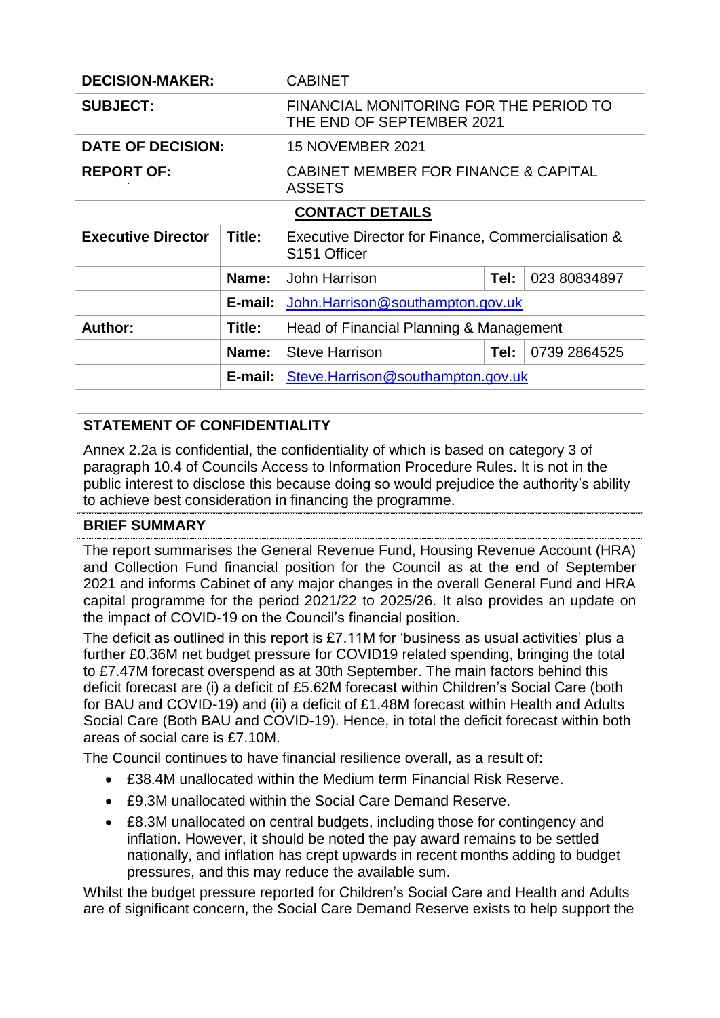| <b>DECISION-MAKER:</b>    |         | <b>CABINET</b>                                                                  |      |              |
|---------------------------|---------|---------------------------------------------------------------------------------|------|--------------|
| <b>SUBJECT:</b>           |         | FINANCIAL MONITORING FOR THE PERIOD TO<br>THE END OF SEPTEMBER 2021             |      |              |
| <b>DATE OF DECISION:</b>  |         | <b>15 NOVEMBER 2021</b>                                                         |      |              |
| <b>REPORT OF:</b>         |         | <b>CABINET MEMBER FOR FINANCE &amp; CAPITAL</b><br><b>ASSETS</b>                |      |              |
| <b>CONTACT DETAILS</b>    |         |                                                                                 |      |              |
| <b>Executive Director</b> | Title:  | Executive Director for Finance, Commercialisation &<br>S <sub>151</sub> Officer |      |              |
|                           | Name:   | John Harrison<br>023 80834897<br>Tel:                                           |      |              |
|                           | E-mail: | John.Harrison@southampton.gov.uk                                                |      |              |
| Author:                   | Title:  | Head of Financial Planning & Management                                         |      |              |
|                           | Name:   | <b>Steve Harrison</b>                                                           | Tel: | 0739 2864525 |
|                           | E-mail: | Steve.Harrison@southampton.gov.uk                                               |      |              |

## **STATEMENT OF CONFIDENTIALITY**

Annex 2.2a is confidential, the confidentiality of which is based on category 3 of paragraph 10.4 of Councils Access to Information Procedure Rules. It is not in the public interest to disclose this because doing so would prejudice the authority's ability to achieve best consideration in financing the programme.

### **BRIEF SUMMARY**

The report summarises the General Revenue Fund, Housing Revenue Account (HRA) and Collection Fund financial position for the Council as at the end of September 2021 and informs Cabinet of any major changes in the overall General Fund and HRA capital programme for the period 2021/22 to 2025/26. It also provides an update on the impact of COVID-19 on the Council's financial position.

The deficit as outlined in this report is £7.11M for 'business as usual activities' plus a further £0.36M net budget pressure for COVID19 related spending, bringing the total to £7.47M forecast overspend as at 30th September. The main factors behind this deficit forecast are (i) a deficit of £5.62M forecast within Children's Social Care (both for BAU and COVID-19) and (ii) a deficit of £1.48M forecast within Health and Adults Social Care (Both BAU and COVID-19). Hence, in total the deficit forecast within both areas of social care is £7.10M.

The Council continues to have financial resilience overall, as a result of:

- £38.4M unallocated within the Medium term Financial Risk Reserve.
- £9.3M unallocated within the Social Care Demand Reserve.
- £8.3M unallocated on central budgets, including those for contingency and inflation. However, it should be noted the pay award remains to be settled nationally, and inflation has crept upwards in recent months adding to budget pressures, and this may reduce the available sum.

Whilst the budget pressure reported for Children's Social Care and Health and Adults are of significant concern, the Social Care Demand Reserve exists to help support the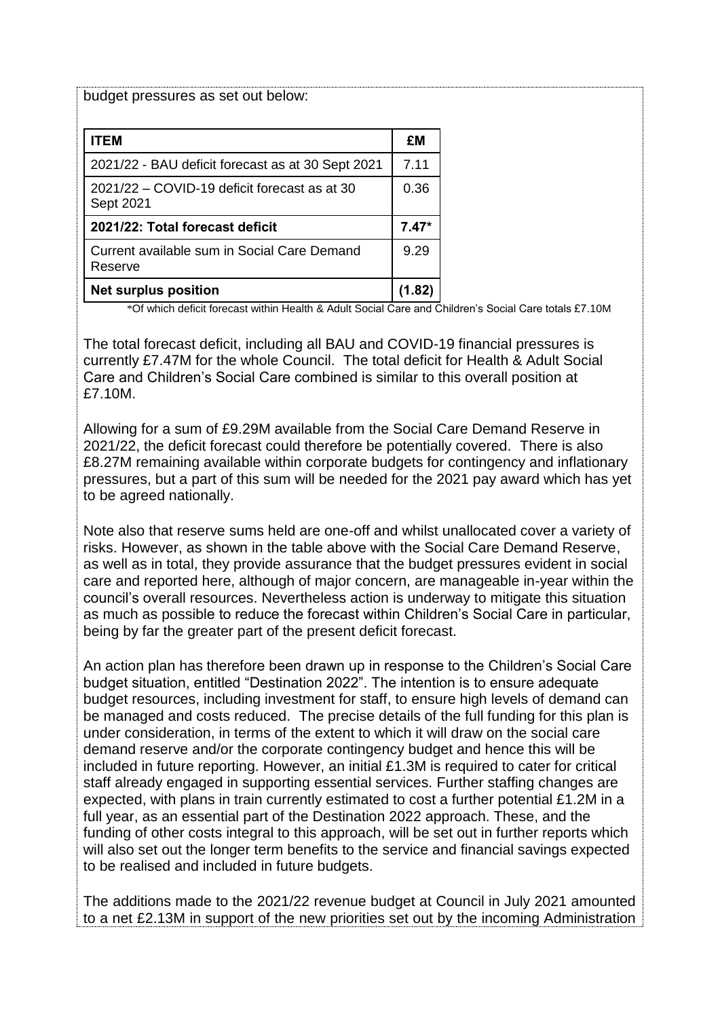budget pressures as set out below:

| <b>ITEM</b>                                               | £Μ   |
|-----------------------------------------------------------|------|
| 2021/22 - BAU deficit forecast as at 30 Sept 2021         | 7.11 |
| 2021/22 – COVID-19 deficit forecast as at 30<br>Sept 2021 | 0.36 |
| 2021/22: Total forecast deficit                           |      |
| Current available sum in Social Care Demand<br>Reserve    | 9.29 |
| <b>Net surplus position</b>                               |      |

\*Of which deficit forecast within Health & Adult Social Care and Children's Social Care totals £7.10M

The total forecast deficit, including all BAU and COVID-19 financial pressures is currently £7.47M for the whole Council. The total deficit for Health & Adult Social Care and Children's Social Care combined is similar to this overall position at £7.10M.

Allowing for a sum of £9.29M available from the Social Care Demand Reserve in 2021/22, the deficit forecast could therefore be potentially covered. There is also £8.27M remaining available within corporate budgets for contingency and inflationary pressures, but a part of this sum will be needed for the 2021 pay award which has yet to be agreed nationally.

Note also that reserve sums held are one-off and whilst unallocated cover a variety of risks. However, as shown in the table above with the Social Care Demand Reserve, as well as in total, they provide assurance that the budget pressures evident in social care and reported here, although of major concern, are manageable in-year within the council's overall resources. Nevertheless action is underway to mitigate this situation as much as possible to reduce the forecast within Children's Social Care in particular, being by far the greater part of the present deficit forecast.

An action plan has therefore been drawn up in response to the Children's Social Care budget situation, entitled "Destination 2022". The intention is to ensure adequate budget resources, including investment for staff, to ensure high levels of demand can be managed and costs reduced. The precise details of the full funding for this plan is under consideration, in terms of the extent to which it will draw on the social care demand reserve and/or the corporate contingency budget and hence this will be included in future reporting. However, an initial £1.3M is required to cater for critical staff already engaged in supporting essential services. Further staffing changes are expected, with plans in train currently estimated to cost a further potential £1.2M in a full year, as an essential part of the Destination 2022 approach. These, and the funding of other costs integral to this approach, will be set out in further reports which will also set out the longer term benefits to the service and financial savings expected to be realised and included in future budgets.

The additions made to the 2021/22 revenue budget at Council in July 2021 amounted to a net £2.13M in support of the new priorities set out by the incoming Administration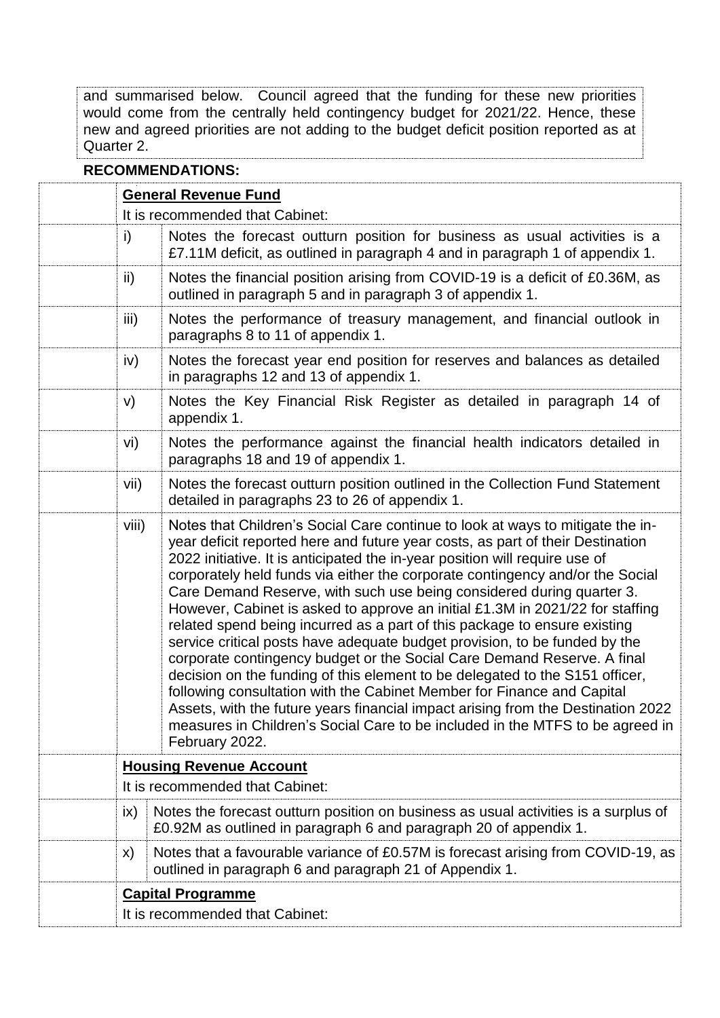and summarised below. Council agreed that the funding for these new priorities would come from the centrally held contingency budget for 2021/22. Hence, these new and agreed priorities are not adding to the budget deficit position reported as at Quarter 2.

### **RECOMMENDATIONS:**

| <b>General Revenue Fund</b><br>It is recommended that Cabinet:                                                                          |                                                                                                                                                                                                                                                                                                                                                                                                                                                                                                                                                                                                                                                                                                                                                                                                                                                                                                                                                                                                                                                                                   |  |  |  |
|-----------------------------------------------------------------------------------------------------------------------------------------|-----------------------------------------------------------------------------------------------------------------------------------------------------------------------------------------------------------------------------------------------------------------------------------------------------------------------------------------------------------------------------------------------------------------------------------------------------------------------------------------------------------------------------------------------------------------------------------------------------------------------------------------------------------------------------------------------------------------------------------------------------------------------------------------------------------------------------------------------------------------------------------------------------------------------------------------------------------------------------------------------------------------------------------------------------------------------------------|--|--|--|
| i)                                                                                                                                      | Notes the forecast outturn position for business as usual activities is a<br>£7.11M deficit, as outlined in paragraph 4 and in paragraph 1 of appendix 1.                                                                                                                                                                                                                                                                                                                                                                                                                                                                                                                                                                                                                                                                                                                                                                                                                                                                                                                         |  |  |  |
| ii)                                                                                                                                     | Notes the financial position arising from COVID-19 is a deficit of £0.36M, as<br>outlined in paragraph 5 and in paragraph 3 of appendix 1.                                                                                                                                                                                                                                                                                                                                                                                                                                                                                                                                                                                                                                                                                                                                                                                                                                                                                                                                        |  |  |  |
| iii)                                                                                                                                    | Notes the performance of treasury management, and financial outlook in<br>paragraphs 8 to 11 of appendix 1.                                                                                                                                                                                                                                                                                                                                                                                                                                                                                                                                                                                                                                                                                                                                                                                                                                                                                                                                                                       |  |  |  |
| iv)                                                                                                                                     | Notes the forecast year end position for reserves and balances as detailed<br>in paragraphs 12 and 13 of appendix 1.                                                                                                                                                                                                                                                                                                                                                                                                                                                                                                                                                                                                                                                                                                                                                                                                                                                                                                                                                              |  |  |  |
| V)                                                                                                                                      | Notes the Key Financial Risk Register as detailed in paragraph 14 of<br>appendix 1.                                                                                                                                                                                                                                                                                                                                                                                                                                                                                                                                                                                                                                                                                                                                                                                                                                                                                                                                                                                               |  |  |  |
| vi)                                                                                                                                     | Notes the performance against the financial health indicators detailed in<br>paragraphs 18 and 19 of appendix 1.                                                                                                                                                                                                                                                                                                                                                                                                                                                                                                                                                                                                                                                                                                                                                                                                                                                                                                                                                                  |  |  |  |
| vii)                                                                                                                                    | Notes the forecast outturn position outlined in the Collection Fund Statement<br>detailed in paragraphs 23 to 26 of appendix 1.                                                                                                                                                                                                                                                                                                                                                                                                                                                                                                                                                                                                                                                                                                                                                                                                                                                                                                                                                   |  |  |  |
| viii)                                                                                                                                   | Notes that Children's Social Care continue to look at ways to mitigate the in-<br>year deficit reported here and future year costs, as part of their Destination<br>2022 initiative. It is anticipated the in-year position will require use of<br>corporately held funds via either the corporate contingency and/or the Social<br>Care Demand Reserve, with such use being considered during quarter 3.<br>However, Cabinet is asked to approve an initial £1.3M in 2021/22 for staffing<br>related spend being incurred as a part of this package to ensure existing<br>service critical posts have adequate budget provision, to be funded by the<br>corporate contingency budget or the Social Care Demand Reserve. A final<br>decision on the funding of this element to be delegated to the S151 officer,<br>following consultation with the Cabinet Member for Finance and Capital<br>Assets, with the future years financial impact arising from the Destination 2022<br>measures in Children's Social Care to be included in the MTFS to be agreed in<br>February 2022. |  |  |  |
| <b>Housing Revenue Account</b>                                                                                                          |                                                                                                                                                                                                                                                                                                                                                                                                                                                                                                                                                                                                                                                                                                                                                                                                                                                                                                                                                                                                                                                                                   |  |  |  |
| It is recommended that Cabinet:<br>Notes the forecast outturn position on business as usual activities is a surplus of<br>$\mathsf{ix}$ |                                                                                                                                                                                                                                                                                                                                                                                                                                                                                                                                                                                                                                                                                                                                                                                                                                                                                                                                                                                                                                                                                   |  |  |  |
|                                                                                                                                         | £0.92M as outlined in paragraph 6 and paragraph 20 of appendix 1.                                                                                                                                                                                                                                                                                                                                                                                                                                                                                                                                                                                                                                                                                                                                                                                                                                                                                                                                                                                                                 |  |  |  |
| X)                                                                                                                                      | Notes that a favourable variance of £0.57M is forecast arising from COVID-19, as<br>outlined in paragraph 6 and paragraph 21 of Appendix 1.                                                                                                                                                                                                                                                                                                                                                                                                                                                                                                                                                                                                                                                                                                                                                                                                                                                                                                                                       |  |  |  |
|                                                                                                                                         | <b>Capital Programme</b>                                                                                                                                                                                                                                                                                                                                                                                                                                                                                                                                                                                                                                                                                                                                                                                                                                                                                                                                                                                                                                                          |  |  |  |
| It is recommended that Cabinet:                                                                                                         |                                                                                                                                                                                                                                                                                                                                                                                                                                                                                                                                                                                                                                                                                                                                                                                                                                                                                                                                                                                                                                                                                   |  |  |  |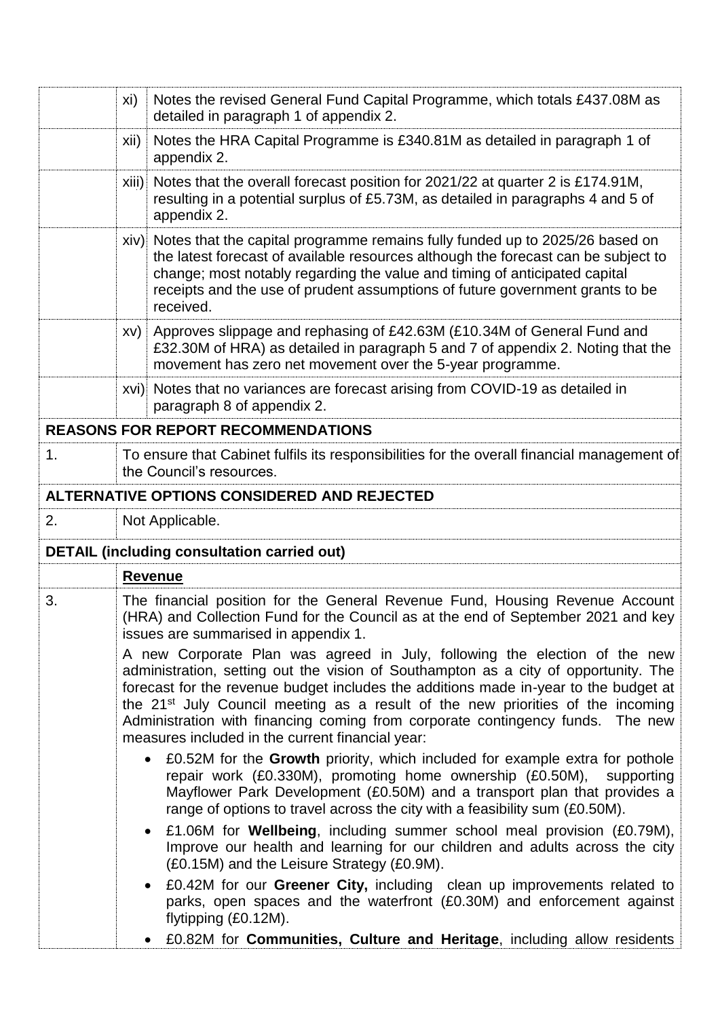|                                           | xi)<br>Notes the revised General Fund Capital Programme, which totals £437.08M as<br>detailed in paragraph 1 of appendix 2.                                                                                                                                                                                                                                                                                                                                                                    |  |  |  |  |
|-------------------------------------------|------------------------------------------------------------------------------------------------------------------------------------------------------------------------------------------------------------------------------------------------------------------------------------------------------------------------------------------------------------------------------------------------------------------------------------------------------------------------------------------------|--|--|--|--|
|                                           | Notes the HRA Capital Programme is £340.81M as detailed in paragraph 1 of<br>xii)<br>appendix 2.                                                                                                                                                                                                                                                                                                                                                                                               |  |  |  |  |
|                                           | Notes that the overall forecast position for 2021/22 at quarter 2 is £174.91M,<br>xiii)<br>resulting in a potential surplus of £5.73M, as detailed in paragraphs 4 and 5 of<br>appendix 2.                                                                                                                                                                                                                                                                                                     |  |  |  |  |
|                                           | xiv) Notes that the capital programme remains fully funded up to 2025/26 based on<br>the latest forecast of available resources although the forecast can be subject to<br>change; most notably regarding the value and timing of anticipated capital<br>receipts and the use of prudent assumptions of future government grants to be<br>received.                                                                                                                                            |  |  |  |  |
|                                           | xv) Approves slippage and rephasing of £42.63M (£10.34M of General Fund and<br>£32.30M of HRA) as detailed in paragraph 5 and 7 of appendix 2. Noting that the<br>movement has zero net movement over the 5-year programme.                                                                                                                                                                                                                                                                    |  |  |  |  |
|                                           | xvi) Notes that no variances are forecast arising from COVID-19 as detailed in<br>paragraph 8 of appendix 2.                                                                                                                                                                                                                                                                                                                                                                                   |  |  |  |  |
| <b>REASONS FOR REPORT RECOMMENDATIONS</b> |                                                                                                                                                                                                                                                                                                                                                                                                                                                                                                |  |  |  |  |
| 1.                                        | To ensure that Cabinet fulfils its responsibilities for the overall financial management of<br>the Council's resources.                                                                                                                                                                                                                                                                                                                                                                        |  |  |  |  |
|                                           | ALTERNATIVE OPTIONS CONSIDERED AND REJECTED                                                                                                                                                                                                                                                                                                                                                                                                                                                    |  |  |  |  |
| 2.                                        | Not Applicable.                                                                                                                                                                                                                                                                                                                                                                                                                                                                                |  |  |  |  |
|                                           | <b>DETAIL (including consultation carried out)</b>                                                                                                                                                                                                                                                                                                                                                                                                                                             |  |  |  |  |
|                                           | <b>Revenue</b>                                                                                                                                                                                                                                                                                                                                                                                                                                                                                 |  |  |  |  |
| 3.                                        | The financial position for the General Revenue Fund, Housing Revenue Account<br>(HRA) and Collection Fund for the Council as at the end of September 2021 and key<br>issues are summarised in appendix 1.                                                                                                                                                                                                                                                                                      |  |  |  |  |
|                                           | A new Corporate Plan was agreed in July, following the election of the new<br>administration, setting out the vision of Southampton as a city of opportunity. The<br>forecast for the revenue budget includes the additions made in-year to the budget at<br>the 21 <sup>st</sup> July Council meeting as a result of the new priorities of the incoming<br>Administration with financing coming from corporate contingency funds. The new<br>measures included in the current financial year: |  |  |  |  |
|                                           | £0.52M for the Growth priority, which included for example extra for pothole<br>$\bullet$<br>repair work (£0.330M), promoting home ownership (£0.50M),<br>supporting<br>Mayflower Park Development (£0.50M) and a transport plan that provides a<br>range of options to travel across the city with a feasibility sum (£0.50M).                                                                                                                                                                |  |  |  |  |
|                                           | • £1.06M for <b>Wellbeing</b> , including summer school meal provision (£0.79M),<br>Improve our health and learning for our children and adults across the city<br>(£0.15M) and the Leisure Strategy (£0.9M).                                                                                                                                                                                                                                                                                  |  |  |  |  |
|                                           | £0.42M for our Greener City, including clean up improvements related to<br>$\bullet$<br>parks, open spaces and the waterfront (£0.30M) and enforcement against<br>flytipping (£0.12M).                                                                                                                                                                                                                                                                                                         |  |  |  |  |
|                                           | £0.82M for <b>Communities, Culture and Heritage</b> , including allow residents                                                                                                                                                                                                                                                                                                                                                                                                                |  |  |  |  |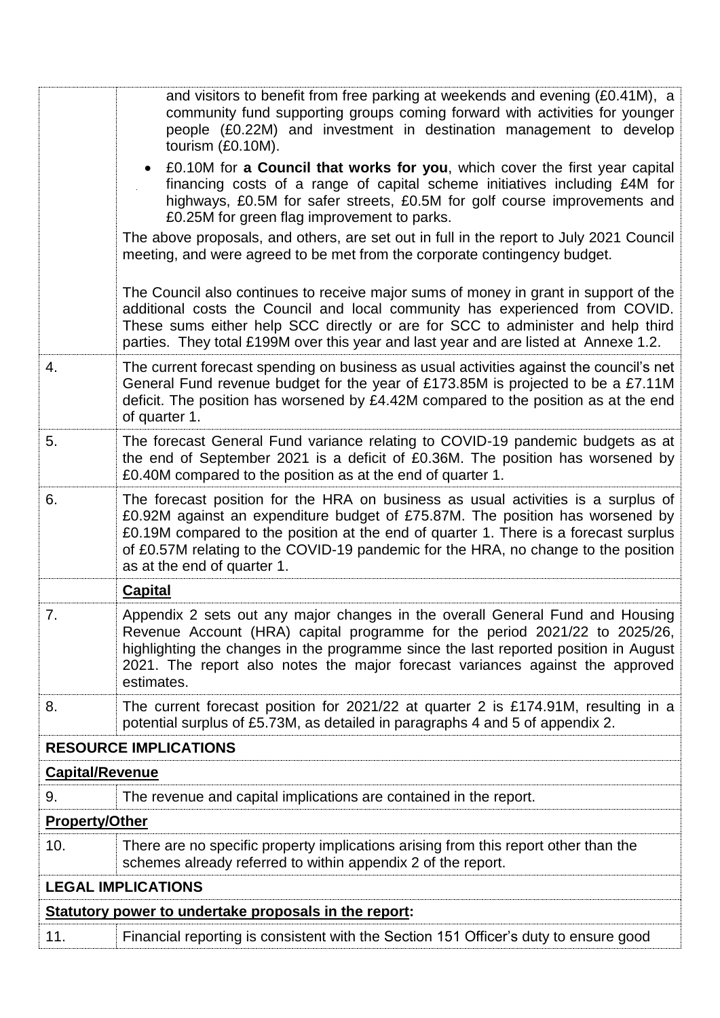|                           | and visitors to benefit from free parking at weekends and evening (£0.41M), a<br>community fund supporting groups coming forward with activities for younger<br>people (£0.22M) and investment in destination management to develop<br>tourism (£0.10M).                                                                                                                        |  |
|---------------------------|---------------------------------------------------------------------------------------------------------------------------------------------------------------------------------------------------------------------------------------------------------------------------------------------------------------------------------------------------------------------------------|--|
|                           | £0.10M for a Council that works for you, which cover the first year capital<br>$\bullet$<br>financing costs of a range of capital scheme initiatives including £4M for<br>highways, £0.5M for safer streets, £0.5M for golf course improvements and<br>£0.25M for green flag improvement to parks.                                                                              |  |
|                           | The above proposals, and others, are set out in full in the report to July 2021 Council<br>meeting, and were agreed to be met from the corporate contingency budget.                                                                                                                                                                                                            |  |
|                           | The Council also continues to receive major sums of money in grant in support of the<br>additional costs the Council and local community has experienced from COVID.<br>These sums either help SCC directly or are for SCC to administer and help third<br>parties. They total £199M over this year and last year and are listed at Annexe 1.2.                                 |  |
| 4.                        | The current forecast spending on business as usual activities against the council's net<br>General Fund revenue budget for the year of £173.85M is projected to be a £7.11M<br>deficit. The position has worsened by £4.42M compared to the position as at the end<br>of quarter 1.                                                                                             |  |
| 5.                        | The forecast General Fund variance relating to COVID-19 pandemic budgets as at<br>the end of September 2021 is a deficit of £0.36M. The position has worsened by<br>£0.40M compared to the position as at the end of quarter 1.                                                                                                                                                 |  |
| 6.                        | The forecast position for the HRA on business as usual activities is a surplus of<br>£0.92M against an expenditure budget of £75.87M. The position has worsened by<br>£0.19M compared to the position at the end of quarter 1. There is a forecast surplus<br>of £0.57M relating to the COVID-19 pandemic for the HRA, no change to the position<br>as at the end of quarter 1. |  |
|                           | <b>Capital</b>                                                                                                                                                                                                                                                                                                                                                                  |  |
| 7.                        | Appendix 2 sets out any major changes in the overall General Fund and Housing<br>Revenue Account (HRA) capital programme for the period 2021/22 to 2025/26,<br>highlighting the changes in the programme since the last reported position in August<br>2021. The report also notes the major forecast variances against the approved<br>estimates.                              |  |
| 8.                        | The current forecast position for 2021/22 at quarter 2 is £174.91M, resulting in a<br>potential surplus of £5.73M, as detailed in paragraphs 4 and 5 of appendix 2.                                                                                                                                                                                                             |  |
|                           | <b>RESOURCE IMPLICATIONS</b>                                                                                                                                                                                                                                                                                                                                                    |  |
| <b>Capital/Revenue</b>    |                                                                                                                                                                                                                                                                                                                                                                                 |  |
| 9.                        | The revenue and capital implications are contained in the report.                                                                                                                                                                                                                                                                                                               |  |
| <b>Property/Other</b>     |                                                                                                                                                                                                                                                                                                                                                                                 |  |
| 10.                       | There are no specific property implications arising from this report other than the<br>schemes already referred to within appendix 2 of the report.                                                                                                                                                                                                                             |  |
| <b>LEGAL IMPLICATIONS</b> |                                                                                                                                                                                                                                                                                                                                                                                 |  |
|                           | Statutory power to undertake proposals in the report:                                                                                                                                                                                                                                                                                                                           |  |
| 11.                       | Financial reporting is consistent with the Section 151 Officer's duty to ensure good                                                                                                                                                                                                                                                                                            |  |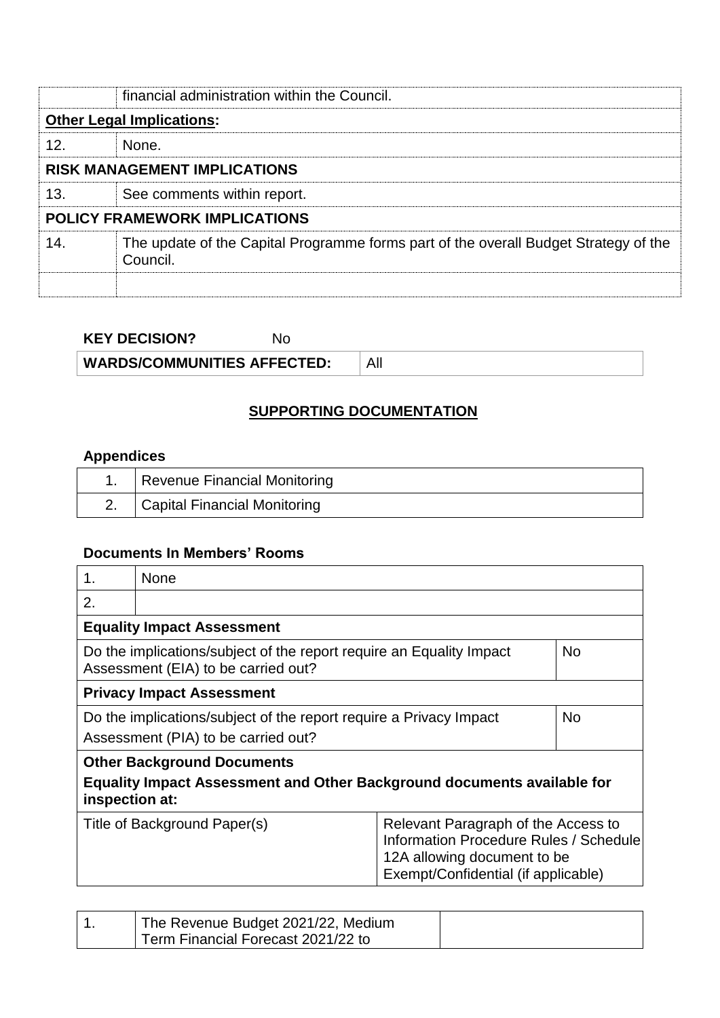|                                  | financial administration within the Council.                                                     |  |  |
|----------------------------------|--------------------------------------------------------------------------------------------------|--|--|
| <b>Other Legal Implications:</b> |                                                                                                  |  |  |
| 12.                              | None.                                                                                            |  |  |
|                                  | <b>RISK MANAGEMENT IMPLICATIONS</b>                                                              |  |  |
| 13.                              | See comments within report.                                                                      |  |  |
|                                  | <b>POLICY FRAMEWORK IMPLICATIONS</b>                                                             |  |  |
| 14.                              | The update of the Capital Programme forms part of the overall Budget Strategy of the<br>Council. |  |  |
|                                  |                                                                                                  |  |  |

| <b>KEY DECISION?</b> |  |
|----------------------|--|
|                      |  |

**WARDS/COMMUNITIES AFFECTED:** All

### **SUPPORTING DOCUMENTATION**

## **Appendices**

| Revenue Financial Monitoring |
|------------------------------|
| Capital Financial Monitoring |

# **Documents In Members' Rooms**

| 1.                                                                                                                       | None                                                                                                                                                                                       |  |  |
|--------------------------------------------------------------------------------------------------------------------------|--------------------------------------------------------------------------------------------------------------------------------------------------------------------------------------------|--|--|
| 2.                                                                                                                       |                                                                                                                                                                                            |  |  |
|                                                                                                                          | <b>Equality Impact Assessment</b>                                                                                                                                                          |  |  |
| Do the implications/subject of the report require an Equality Impact<br><b>No</b><br>Assessment (EIA) to be carried out? |                                                                                                                                                                                            |  |  |
| <b>Privacy Impact Assessment</b>                                                                                         |                                                                                                                                                                                            |  |  |
|                                                                                                                          | <b>No</b><br>Do the implications/subject of the report require a Privacy Impact                                                                                                            |  |  |
|                                                                                                                          | Assessment (PIA) to be carried out?                                                                                                                                                        |  |  |
| <b>Other Background Documents</b>                                                                                        |                                                                                                                                                                                            |  |  |
| <b>Equality Impact Assessment and Other Background documents available for</b><br>inspection at:                         |                                                                                                                                                                                            |  |  |
|                                                                                                                          | Relevant Paragraph of the Access to<br>Title of Background Paper(s)<br><b>Information Procedure Rules / Schedule</b><br>12A allowing document to be<br>Exempt/Confidential (if applicable) |  |  |
|                                                                                                                          |                                                                                                                                                                                            |  |  |

| The Revenue Budget 2021/22, Medium |  |
|------------------------------------|--|
| Term Financial Forecast 2021/22 to |  |